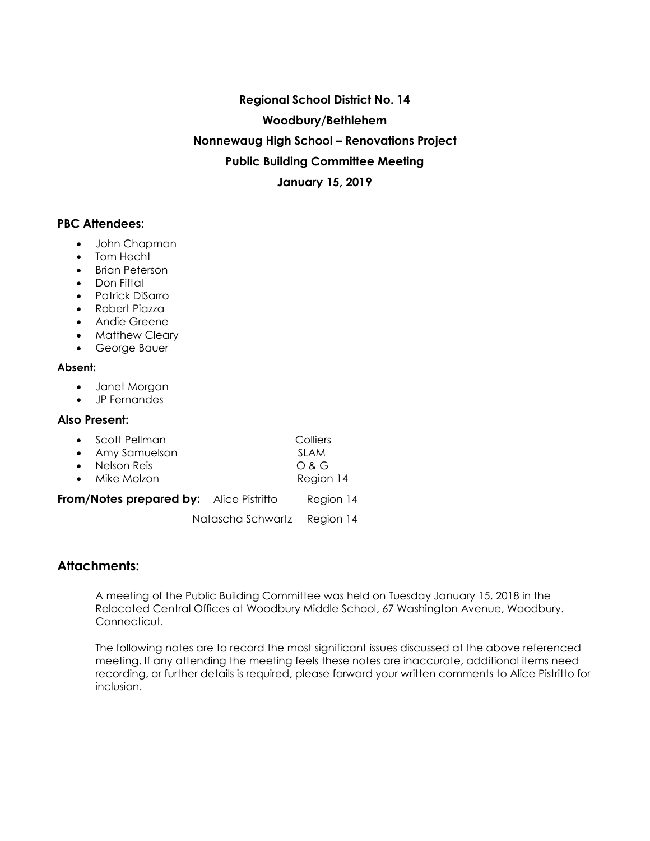**Regional School District No. 14 Woodbury/Bethlehem Nonnewaug High School – Renovations Project Public Building Committee Meeting January 15, 2019**

# **PBC Attendees:**

- John Chapman
- Tom Hecht
- Brian Peterson
- Don Fiftal
- Patrick DiSarro
- Robert Piazza
- Andie Greene
- Matthew Cleary
- George Bauer

#### **Absent:**

- Janet Morgan
- JP Fernandes

#### **Also Present:**

| • Scott Pellman | Colliers  |
|-----------------|-----------|
| • Amy Samuelson | SI AM     |
| • Nelson Reis   | O & G     |
| • Mike Molzon   | Region 14 |
|                 |           |

**From/Notes prepared by:** Alice Pistritto Region 14

Natascha Schwartz Region 14

# **Attachments:**

A meeting of the Public Building Committee was held on Tuesday January 15, 2018 in the Relocated Central Offices at Woodbury Middle School, 67 Washington Avenue, Woodbury. Connecticut.

The following notes are to record the most significant issues discussed at the above referenced meeting. If any attending the meeting feels these notes are inaccurate, additional items need recording, or further details is required, please forward your written comments to Alice Pistritto for inclusion.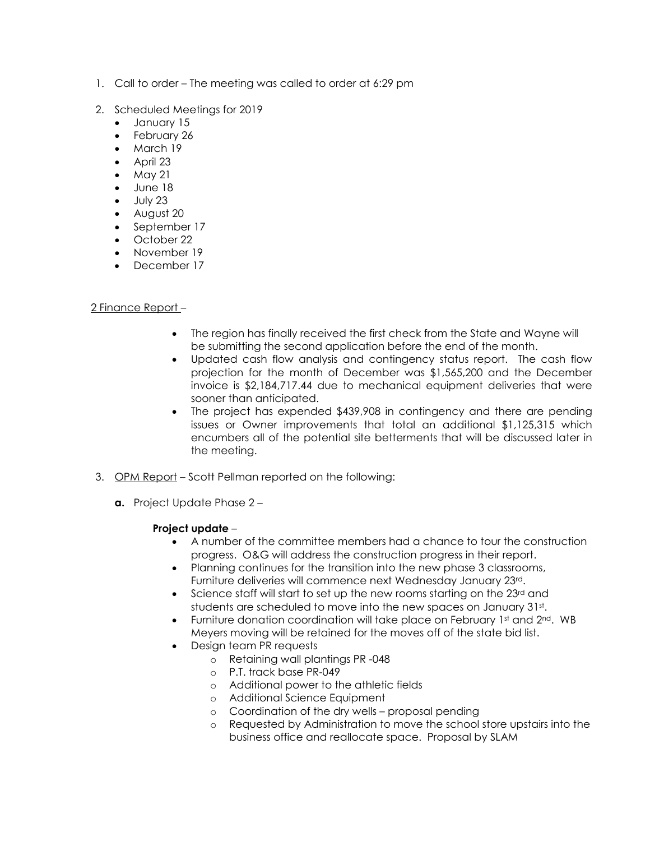- 1. Call to order The meeting was called to order at 6:29 pm
- 2. Scheduled Meetings for 2019
	- January 15
	- February 26
	- March 19
	- April 23
	- May 21
	- June 18
	- $\bullet$  July 23
	- August 20
	- September 17
	- October 22
	- November 19
	- December 17

# 2 Finance Report –

- The region has finally received the first check from the State and Wayne will be submitting the second application before the end of the month.
- Updated cash flow analysis and contingency status report. The cash flow projection for the month of December was \$1,565,200 and the December invoice is \$2,184,717.44 due to mechanical equipment deliveries that were sooner than anticipated.
- The project has expended \$439,908 in contingency and there are pending issues or Owner improvements that total an additional \$1,125,315 which encumbers all of the potential site betterments that will be discussed later in the meeting.
- 3. OPM Report Scott Pellman reported on the following:
	- **a.** Project Update Phase 2 –

## **Project update** –

- A number of the committee members had a chance to tour the construction progress. O&G will address the construction progress in their report.
- Planning continues for the transition into the new phase 3 classrooms, Furniture deliveries will commence next Wednesday January 23rd.
- Science staff will start to set up the new rooms starting on the  $23<sup>rd</sup>$  and students are scheduled to move into the new spaces on January 31st.
- Furniture donation coordination will take place on February 1st and 2nd. WB Meyers moving will be retained for the moves off of the state bid list.
- Design team PR requests
	- o Retaining wall plantings PR -048
	- o P.T. track base PR-049
	- o Additional power to the athletic fields
	- o Additional Science Equipment
	- o Coordination of the dry wells proposal pending
	- o Requested by Administration to move the school store upstairs into the business office and reallocate space. Proposal by SLAM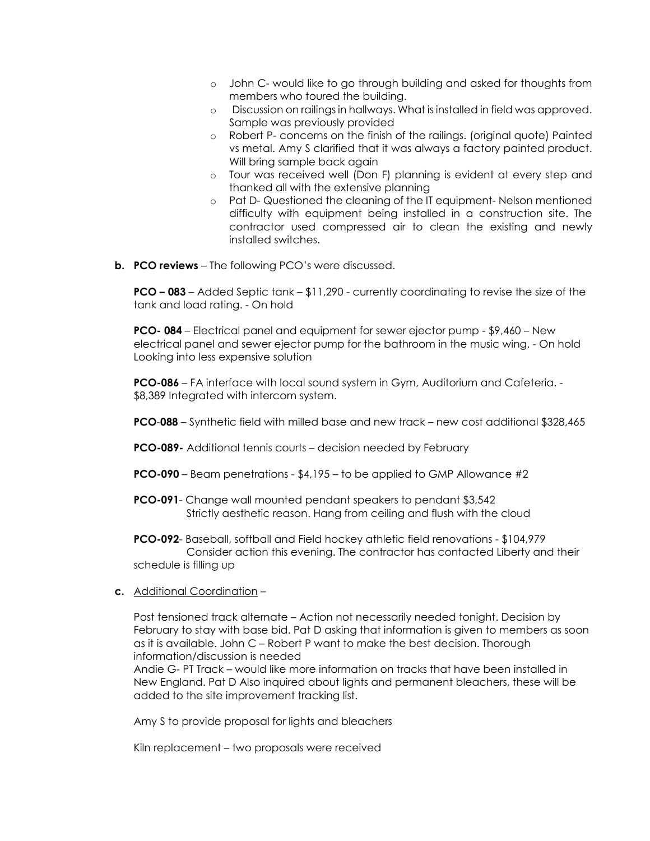- o John C- would like to go through building and asked for thoughts from members who toured the building.
- o Discussion on railings in hallways. What is installed in field was approved. Sample was previously provided
- o Robert P- concerns on the finish of the railings. (original quote) Painted vs metal. Amy S clarified that it was always a factory painted product. Will bring sample back again
- o Tour was received well (Don F) planning is evident at every step and thanked all with the extensive planning
- o Pat D- Questioned the cleaning of the IT equipment- Nelson mentioned difficulty with equipment being installed in a construction site. The contractor used compressed air to clean the existing and newly installed switches.
- **b. PCO reviews** The following PCO's were discussed.

**PCO – 083** – Added Septic tank – \$11,290 - currently coordinating to revise the size of the tank and load rating. - On hold

**PCO- 084** – Electrical panel and equipment for sewer ejector pump - \$9,460 – New electrical panel and sewer ejector pump for the bathroom in the music wing. - On hold Looking into less expensive solution

**PCO-086** – FA interface with local sound system in Gym, Auditorium and Cafeteria. - \$8,389 Integrated with intercom system.

- **PCO**-**088**  Synthetic field with milled base and new track new cost additional \$328,465
- **PCO-089-** Additional tennis courts decision needed by February
- **PCO-090** Beam penetrations \$4,195 to be applied to GMP Allowance #2
- **PCO-091** Change wall mounted pendant speakers to pendant \$3,542 Strictly aesthetic reason. Hang from ceiling and flush with the cloud
- **PCO-092** Baseball, softball and Field hockey athletic field renovations \$104,979 Consider action this evening. The contractor has contacted Liberty and their schedule is filling up
- **c.** Additional Coordination –

Post tensioned track alternate – Action not necessarily needed tonight. Decision by February to stay with base bid. Pat D asking that information is given to members as soon as it is available. John C – Robert P want to make the best decision. Thorough information/discussion is needed

Andie G- PT Track – would like more information on tracks that have been installed in New England. Pat D Also inquired about lights and permanent bleachers, these will be added to the site improvement tracking list.

Amy S to provide proposal for lights and bleachers

Kiln replacement – two proposals were received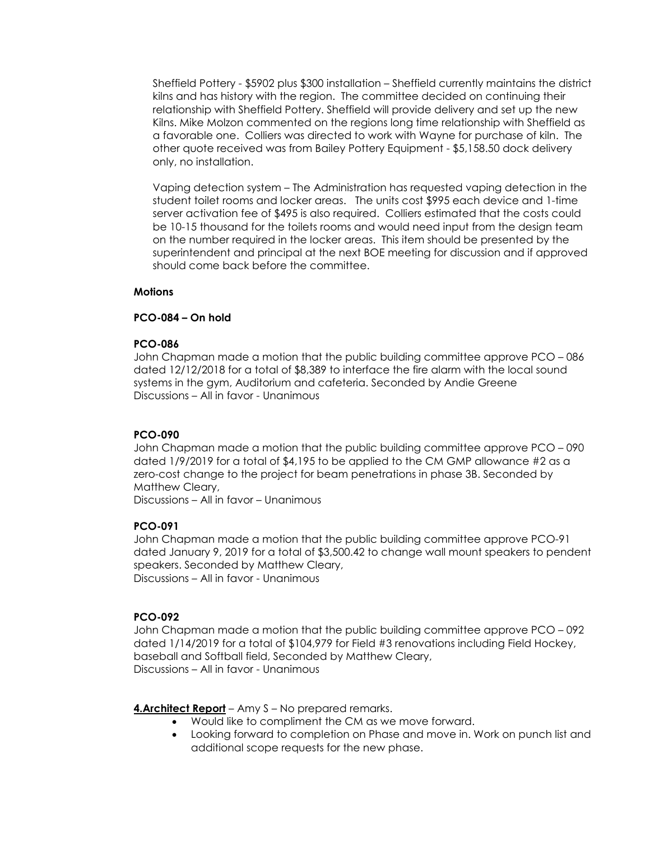Sheffield Pottery - \$5902 plus \$300 installation – Sheffield currently maintains the district kilns and has history with the region. The committee decided on continuing their relationship with Sheffield Pottery. Sheffield will provide delivery and set up the new Kilns. Mike Molzon commented on the regions long time relationship with Sheffield as a favorable one. Colliers was directed to work with Wayne for purchase of kiln. The other quote received was from Bailey Pottery Equipment - \$5,158.50 dock delivery only, no installation.

Vaping detection system – The Administration has requested vaping detection in the student toilet rooms and locker areas. The units cost \$995 each device and 1-time server activation fee of \$495 is also required. Colliers estimated that the costs could be 10-15 thousand for the toilets rooms and would need input from the design team on the number required in the locker areas. This item should be presented by the superintendent and principal at the next BOE meeting for discussion and if approved should come back before the committee.

#### **Motions**

#### **PCO-084 – On hold**

#### **PCO-086**

John Chapman made a motion that the public building committee approve PCO – 086 dated 12/12/2018 for a total of \$8,389 to interface the fire alarm with the local sound systems in the gym, Auditorium and cafeteria. Seconded by Andie Greene Discussions – All in favor - Unanimous

## **PCO-090**

John Chapman made a motion that the public building committee approve PCO – 090 dated 1/9/2019 for a total of \$4,195 to be applied to the CM GMP allowance #2 as a zero-cost change to the project for beam penetrations in phase 3B. Seconded by Matthew Cleary,

Discussions – All in favor – Unanimous

## **PCO-091**

John Chapman made a motion that the public building committee approve PCO-91 dated January 9, 2019 for a total of \$3,500.42 to change wall mount speakers to pendent speakers. Seconded by Matthew Cleary, Discussions – All in favor - Unanimous

#### **PCO-092**

John Chapman made a motion that the public building committee approve PCO – 092 dated 1/14/2019 for a total of \$104,979 for Field #3 renovations including Field Hockey, baseball and Softball field, Seconded by Matthew Cleary, Discussions – All in favor - Unanimous

**4.Architect Report** – Amy S – No prepared remarks.

- Would like to compliment the CM as we move forward.
- Looking forward to completion on Phase and move in. Work on punch list and additional scope requests for the new phase.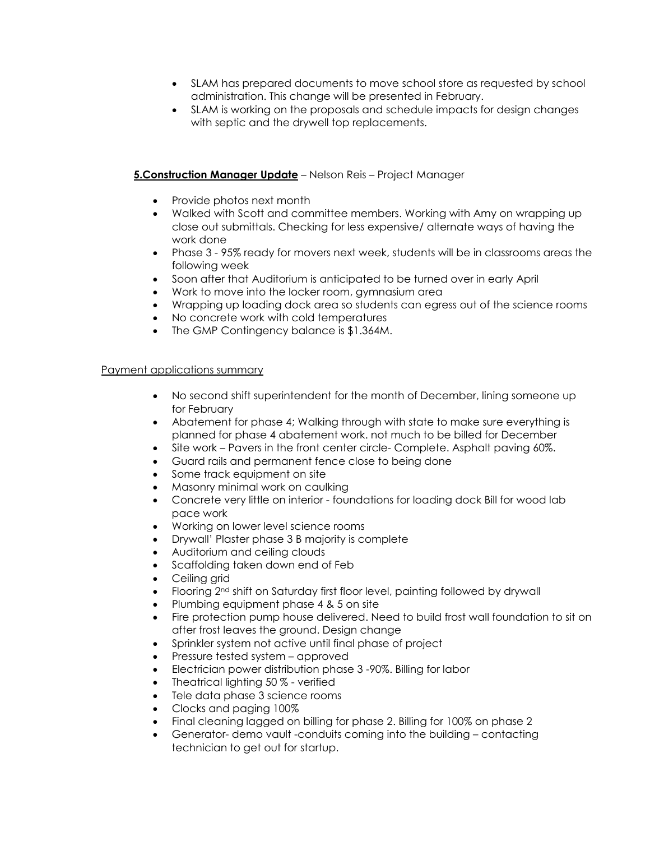- SLAM has prepared documents to move school store as requested by school administration. This change will be presented in February.
- SLAM is working on the proposals and schedule impacts for design changes with septic and the drywell top replacements.

## **5.Construction Manager Update** – Nelson Reis – Project Manager

- Provide photos next month
- Walked with Scott and committee members. Working with Amy on wrapping up close out submittals. Checking for less expensive/ alternate ways of having the work done
- Phase 3 95% ready for movers next week, students will be in classrooms areas the following week
- Soon after that Auditorium is anticipated to be turned over in early April
- Work to move into the locker room, gymnasium area
- Wrapping up loading dock area so students can egress out of the science rooms
- No concrete work with cold temperatures
- The GMP Contingency balance is \$1.364M.

#### Payment applications summary

- No second shift superintendent for the month of December, lining someone up for February
- Abatement for phase 4; Walking through with state to make sure everything is planned for phase 4 abatement work. not much to be billed for December
- Site work Pavers in the front center circle- Complete. Asphalt paving 60%.
- Guard rails and permanent fence close to being done
- Some track equipment on site
- Masonry minimal work on caulking
- Concrete very little on interior foundations for loading dock Bill for wood lab pace work
- Working on lower level science rooms
- Drywall' Plaster phase 3 B majority is complete
- Auditorium and ceiling clouds
- Scaffolding taken down end of Feb
- Ceiling grid
- Flooring 2nd shift on Saturday first floor level, painting followed by drywall
- Plumbing equipment phase 4 & 5 on site
- Fire protection pump house delivered. Need to build frost wall foundation to sit on after frost leaves the ground. Design change
- Sprinkler system not active until final phase of project
- Pressure tested system approved
- Electrician power distribution phase 3 -90%. Billing for labor
- Theatrical lighting 50% verified
- Tele data phase 3 science rooms
- Clocks and paging 100%
- Final cleaning lagged on billing for phase 2. Billing for 100% on phase 2
- Generator- demo vault -conduits coming into the building contacting technician to get out for startup.